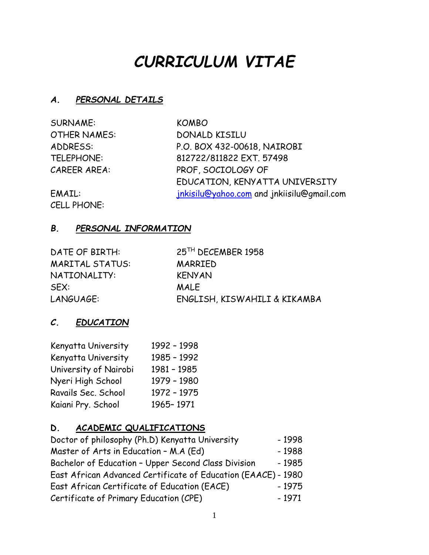# *CURRICULUM VITAE*

#### *A. PERSONAL DETAILS*

| <b>SURNAME:</b>     | <b>KOMBO</b>                               |
|---------------------|--------------------------------------------|
| <b>OTHER NAMES:</b> | DONALD KISILU                              |
| ADDRESS:            | P.O. BOX 432-00618, NAIROBI                |
| TELEPHONE:          | 812722/811822 EXT. 57498                   |
| <b>CAREER AREA:</b> | PROF, SOCIOLOGY OF                         |
|                     | EDUCATION, KENYATTA UNIVERSITY             |
| EMAIL:              | jnkisilu@yahoo.com and jnkiisilu@gmail.com |
| CELL PHONE:         |                                            |

#### *B. PERSONAL INFORMATION*

DATE OF BIRTH: 25<sup>TH</sup> DECEMBER 1958 MARITAL STATUS: MARRIED NATIONALITY: KENYAN SEX: MALE

LANGUAGE: ENGLISH, KISWAHILI & KIKAMBA

#### *C. EDUCATION*

| Kenyatta University   | 1992 - 1998 |
|-----------------------|-------------|
| Kenyatta University   | 1985 - 1992 |
| University of Nairobi | 1981 - 1985 |
| Nyeri High School     | 1979 - 1980 |
| Ravails Sec. School   | 1972 - 1975 |
| Kaiani Pry. School    | 1965-1971   |

#### **D. ACADEMIC QUALIFICATIONS**

| Doctor of philosophy (Ph.D) Kenyatta University               | $-1998$ |
|---------------------------------------------------------------|---------|
| Master of Arts in Education - M.A (Ed)                        | $-1988$ |
| Bachelor of Education - Upper Second Class Division           | - 1985  |
| East African Advanced Certificate of Education (EAACE) - 1980 |         |
| East African Certificate of Education (EACE)                  | $-1975$ |
| Certificate of Primary Education (CPE)                        | - 1971  |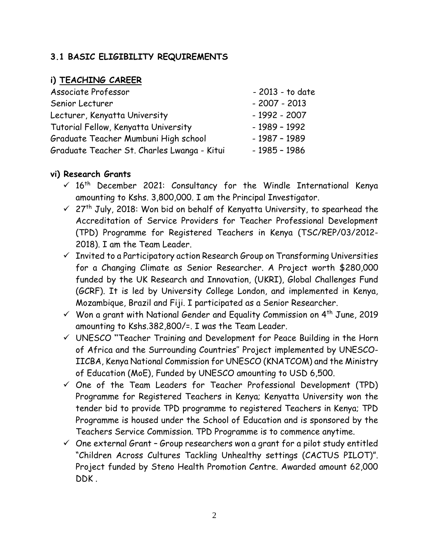# **3.1 BASIC ELIGIBILITY REQUIREMENTS**

# **i) TEACHING CAREER**

| - 2013 - to date |
|------------------|
| $-2007 - 2013$   |
| $-1992 - 2007$   |
| $-1989 - 1992$   |
| $-1987 - 1989$   |
| $-1985 - 1986$   |
|                  |

#### **vi) Research Grants**

- $\checkmark$  16<sup>th</sup> December 2021: Consultancy for the Windle International Kenya amounting to Kshs. 3,800,000. I am the Principal Investigator.
- $\checkmark$  27<sup>th</sup> July, 2018: Won bid on behalf of Kenyatta University, to spearhead the Accreditation of Service Providers for Teacher Professional Development (TPD) Programme for Registered Teachers in Kenya (TSC/REP/03/2012- 2018). I am the Team Leader.
- $\checkmark$  Invited to a Participatory action Research Group on Transforming Universities for a Changing Climate as Senior Researcher. A Project worth \$280,000 funded by the UK Research and Innovation, (UKRI), Global Challenges Fund (GCRF). It is led by University College London, and implemented in Kenya, Mozambique, Brazil and Fiji. I participated as a Senior Researcher.
- $\checkmark$  Won a grant with National Gender and Equality Commission on 4<sup>th</sup> June, 2019 amounting to Kshs.382,800/=. I was the Team Leader.
- UNESCO **''**Teacher Training and Development for Peace Building in the Horn of Africa and the Surrounding Countries'' Project implemented by UNESCO-IICBA, Kenya National Commission for UNESCO (KNATCOM) and the Ministry of Education (MoE), Funded by UNESCO amounting to USD 6,500.
- $\check{\phantom{\phi}}$  One of the Team Leaders for Teacher Professional Development (TPD) Programme for Registered Teachers in Kenya; Kenyatta University won the tender bid to provide TPD programme to registered Teachers in Kenya; TPD Programme is housed under the School of Education and is sponsored by the Teachers Service Commission. TPD Programme is to commence anytime.
- $\checkmark$  One external Grant Group researchers won a grant for a pilot study entitled "Children Across Cultures Tackling Unhealthy settings (CACTUS PILOT)". Project funded by Steno Health Promotion Centre. Awarded amount 62,000 DDK .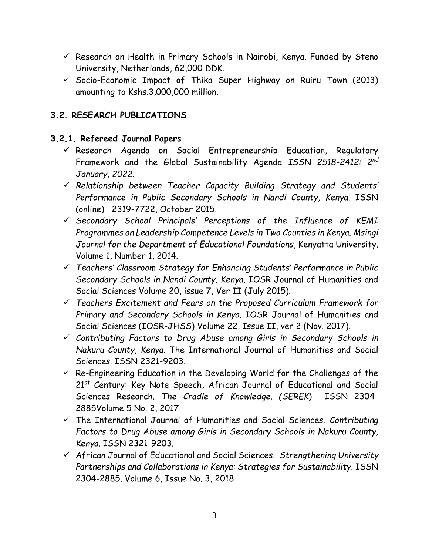- $\checkmark$  Research on Health in Primary Schools in Nairobi, Kenya. Funded by Steno University, Netherlands, 62,000 DDK.
- $\checkmark$  Socio-Economic Impact of Thika Super Highway on Ruiru Town (2013) amounting to Kshs.3,000,000 million.

# **3.2. RESEARCH PUBLICATIONS**

# **3.2.1. Refereed Journal Papers**

- $\checkmark$  Research Agenda on Social Entrepreneurship Education, Regulatory Framework and the Global Sustainability Agenda *ISSN 2518-2412: 2nd January, 2022.*
- *Relationship between Teacher Capacity Building Strategy and Students' Performance in Public Secondary Schools in Nandi County, Kenya*. ISSN (online) : 2319-7722, October 2015.
- *Secondary School Principals' Perceptions of the Influence of KEMI Programmes on Leadership Competence Levels in Two Counties in Kenya. Msingi Journal for the Department of Educational Foundations*, Kenyatta University. Volume 1, Number 1, 2014.
- *Teachers' Classroom Strategy for Enhancing Students' Performance in Public Secondary Schools in Nandi County, Kenya*. IOSR Journal of Humanities and Social Sciences Volume 20, issue 7, Ver II (July 2015).
- *Teachers Excitement and Fears on the Proposed Curriculum Framework for Primary and Secondary Schools in Kenya.* IOSR Journal of Humanities and Social Sciences (IOSR-JHSS) Volume 22, Issue II, ver 2 (Nov. 2017).
- *Contributing Factors to Drug Abuse among Girls in Secondary Schools in Nakuru County, Kenya*. The International Journal of Humanities and Social Sciences. ISSN 2321-9203.
- $\checkmark$  Re-Engineering Education in the Developing World for the Challenges of the 21<sup>st</sup> Century: Key Note Speech, African Journal of Educational and Social Sciences Research. *The Cradle of Knowledge. (SEREK*) ISSN 2304- 2885Volume 5 No. 2, 2017
- The International Journal of Humanities and Social Sciences. *Contributing Factors to Drug Abuse among Girls in Secondary Schools in Nakuru County, Kenya.* ISSN 2321-9203.
- African Journal of Educational and Social Sciences. *Strengthening University Partnerships and Collaborations in Kenya: Strategies for Sustainability.* ISSN 2304-2885. Volume 6, Issue No. 3, 2018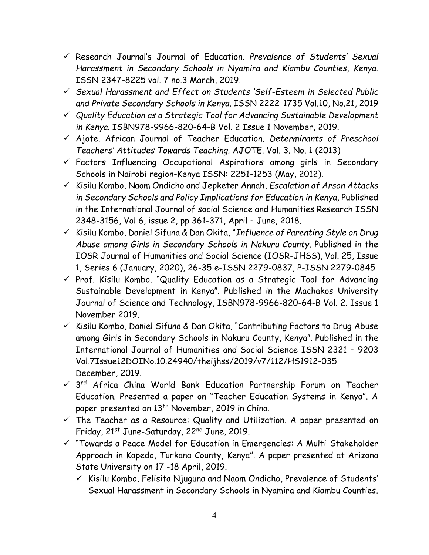- Research Journal's Journal of Education. *Prevalence of Students' Sexual Harassment in Secondary Schools in Nyamira and Kiambu Counties, Kenya.* ISSN 2347-8225 vol. 7 no.3 March, 2019.
- *Sexual Harassment and Effect on Students 'Self-Esteem in Selected Public and Private Secondary Schools in Kenya.* ISSN 2222-1735 Vol.10, No.21, 2019
- *Quality Education as a Strategic Tool for Advancing Sustainable Development in Kenya*. ISBN978-9966-820-64-B Vol. 2 Issue 1 November, 2019.
- Ajote. African Journal of Teacher Education. *Determinants of Preschool Teachers' Attitudes Towards Teaching.* AJOTE. Vol. 3. No. 1 (2013)
- $\checkmark$  Factors Influencing Occupational Aspirations among girls in Secondary Schools in Nairobi region-Kenya ISSN: 2251-1253 (May, 2012).
- Kisilu Kombo, Naom Ondicho and Jepketer Annah, *Escalation of Arson Attacks in Secondary Schools and Policy Implications for Education in Kenya,* Published in the International Journal of social Science and Humanities Research ISSN 2348-3156, Vol 6, issue 2, pp 361-371, April – June, 2018.
- Kisilu Kombo, Daniel Sifuna & Dan Okita, "Influence of Parenting Style on Drug *Abuse among Girls in Secondary Schools in Nakuru County*. Published in the IOSR Journal of Humanities and Social Science (IOSR-JHSS), Vol. 25, Issue 1, Series 6 (January, 2020), 26-35 e-ISSN 2279-0837, P-ISSN 2279-0845
- $\checkmark$  Prof. Kisilu Kombo. "Quality Education as a Strategic Tool for Advancing Sustainable Development in Kenya". Published in the Machakos University Journal of Science and Technology, ISBN978-9966-820-64-B Vol. 2. Issue 1 November 2019.
- $\checkmark$  Kisilu Kombo, Daniel Sifuna & Dan Okita, "Contributing Factors to Drug Abuse among Girls in Secondary Schools in Nakuru County, Kenya". Published in the International Journal of Humanities and Social Science ISSN 2321 – 9203 Vol.7Issue12DOINo.10.24940/theijhss/2019/v7/112/HS1912-035 December, 2019.
- $\checkmark$  3<sup>rd</sup> Africa China World Bank Education Partnership Forum on Teacher Education. Presented a paper on "Teacher Education Systems in Kenya". A paper presented on 13<sup>th</sup> November, 2019 in China.
- $\checkmark$  The Teacher as a Resource: Quality and Utilization. A paper presented on Friday, 21st June-Saturday, 22nd June, 2019.
- $\checkmark$  "Towards a Peace Model for Education in Emergencies: A Multi-Stakeholder Approach in Kapedo, Turkana County, Kenya". A paper presented at Arizona State University on 17 -18 April, 2019.
	- $\checkmark$  Kisilu Kombo, Felisita Njuguna and Naom Ondicho, Prevalence of Students' Sexual Harassment in Secondary Schools in Nyamira and Kiambu Counties.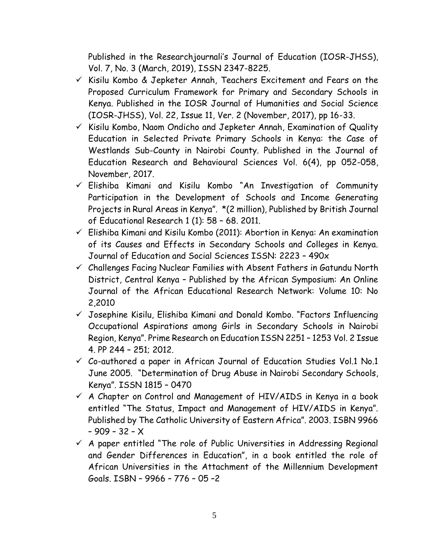Published in the Researchjournali's Journal of Education (IOSR-JHSS), Vol. 7, No. 3 (March, 2019), ISSN 2347-8225.

- $\checkmark$  Kisilu Kombo & Jepketer Annah, Teachers Excitement and Fears on the Proposed Curriculum Framework for Primary and Secondary Schools in Kenya. Published in the IOSR Journal of Humanities and Social Science (IOSR-JHSS), Vol. 22, Issue 11, Ver. 2 (November, 2017), pp 16-33.
- $\checkmark$  Kisilu Kombo, Naom Ondicho and Jepketer Annah, Examination of Quality Education in Selected Private Primary Schools in Kenya: the Case of Westlands Sub-County in Nairobi County. Published in the Journal of Education Research and Behavioural Sciences Vol. 6(4), pp 052-058, November, 2017.
- $\checkmark$  Elishiba Kimani and Kisilu Kombo "An Investigation of Community Participation in the Development of Schools and Income Generating Projects in Rural Areas in Kenya". \*(2 million), Published by British Journal of Educational Research 1 (1): 58 – 68. 2011.
- $\checkmark$  Elishiba Kimani and Kisilu Kombo (2011): Abortion in Kenya: An examination of its Causes and Effects in Secondary Schools and Colleges in Kenya. Journal of Education and Social Sciences ISSN: 2223 – 490x
- $\checkmark$  Challenges Facing Nuclear Families with Absent Fathers in Gatundu North District, Central Kenya – Published by the African Symposium: An Online Journal of the African Educational Research Network: Volume 10: No 2,2010
- $\checkmark$  Josephine Kisilu, Elishiba Kimani and Donald Kombo. "Factors Influencing Occupational Aspirations among Girls in Secondary Schools in Nairobi Region, Kenya". Prime Research on Education ISSN 2251 – 1253 Vol. 2 Issue 4. PP 244 – 251; 2012.
- $\checkmark$  Co-authored a paper in African Journal of Education Studies Vol.1 No.1 June 2005. "Determination of Drug Abuse in Nairobi Secondary Schools, Kenya". ISSN 1815 – 0470
- $\checkmark$  A Chapter on Control and Management of HIV/AIDS in Kenya in a book entitled "The Status, Impact and Management of HIV/AIDS in Kenya". Published by The Catholic University of Eastern Africa". 2003. ISBN 9966 – 909 – 32 – X
- $\checkmark$  A paper entitled "The role of Public Universities in Addressing Regional and Gender Differences in Education", in a book entitled the role of African Universities in the Attachment of the Millennium Development Goals. ISBN – 9966 – 776 – 05 –2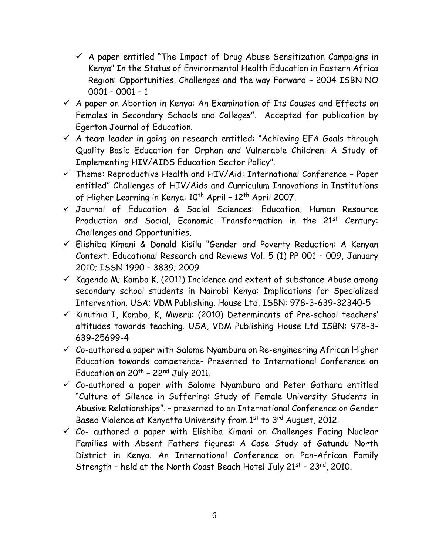- $\checkmark$  A paper entitled "The Impact of Drug Abuse Sensitization Campaigns in Kenya" In the Status of Environmental Health Education in Eastern Africa Region: Opportunities, Challenges and the way Forward – 2004 ISBN NO 0001 – 0001 – 1
- $\checkmark$  A paper on Abortion in Kenya: An Examination of Its Causes and Effects on Females in Secondary Schools and Colleges". Accepted for publication by Egerton Journal of Education.
- $\checkmark$  A team leader in going on research entitled: "Achieving EFA Goals through Quality Basic Education for Orphan and Vulnerable Children: A Study of Implementing HIV/AIDS Education Sector Policy".
- $\checkmark$  Theme: Reproductive Health and HIV/Aid: International Conference Paper entitled" Challenges of HIV/Aids and Curriculum Innovations in Institutions of Higher Learning in Kenya: 10<sup>th</sup> April - 12<sup>th</sup> April 2007.
- Journal of Education & Social Sciences: Education, Human Resource Production and Social, Economic Transformation in the 21<sup>st</sup> Century: Challenges and Opportunities.
- Elishiba Kimani & Donald Kisilu "Gender and Poverty Reduction: A Kenyan Context. Educational Research and Reviews Vol. 5 (1) PP 001 – 009, January 2010; ISSN 1990 – 3839; 2009
- $\checkmark$  Kagendo M; Kombo K. (2011) Incidence and extent of substance Abuse among secondary school students in Nairobi Kenya: Implications for Specialized Intervention. USA; VDM Publishing. House Ltd. ISBN: 978-3-639-32340-5
- $\checkmark$  Kinuthia I, Kombo, K, Mweru: (2010) Determinants of Pre-school teachers' altitudes towards teaching. USA, VDM Publishing House Ltd ISBN: 978-3- 639-25699-4
- $\checkmark$  Co-authored a paper with Salome Nyambura on Re-engineering African Higher Education towards competence- Presented to International Conference on Education on 20<sup>th</sup> – 22<sup>nd</sup> July 2011.
- $\checkmark$  Co-authored a paper with Salome Nyambura and Peter Gathara entitled "Culture of Silence in Suffering: Study of Female University Students in Abusive Relationships". – presented to an International Conference on Gender Based Violence at Kenyatta University from 1st to 3rd August, 2012.
- $\check{\phantom{\phi}}$  Co- authored a paper with Elishiba Kimani on Challenges Facing Nuclear Families with Absent Fathers figures: A Case Study of Gatundu North District in Kenya. An International Conference on Pan-African Family Strength - held at the North Coast Beach Hotel July 21<sup>st</sup> - 23<sup>rd</sup>, 2010.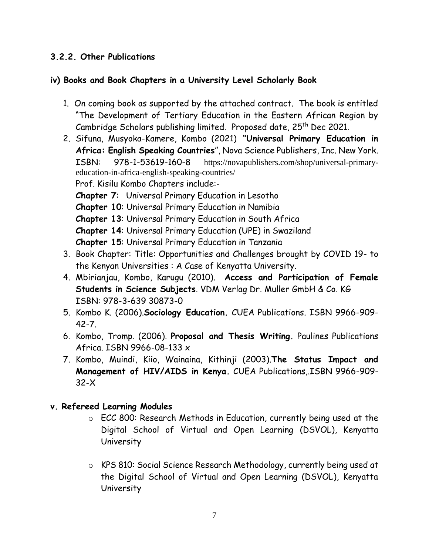# **3.2.2. Other Publications**

# **iv) Books and Book Chapters in a University Level Scholarly Book**

- 1. On coming book as supported by the attached contract. The book is entitled "The Development of Tertiary Education in the Eastern African Region by Cambridge Scholars publishing limited. Proposed date, 25<sup>th</sup> Dec 2021.
- 2. Sifuna, Musyoka-Kamere, Kombo (2021) **"Universal Primary Education in Africa: English Speaking Countries**", Nova Science Publishers, Inc. New York. ISBN: 978-1-53619-160-8 [https://novapublishers.com/shop/universal-primary](https://novapublishers.com/shop/universal-primary-education-in-africa-english-speaking-countries/)[education-in-africa-english-speaking-countries/](https://novapublishers.com/shop/universal-primary-education-in-africa-english-speaking-countries/) Prof. Kisilu Kombo Chapters include:- **Chapter 7**: Universal Primary Education in Lesotho **Chapter 10**: Universal Primary Education in Namibia **Chapter 13**: Universal Primary Education in South Africa **Chapter 14**: Universal Primary Education (UPE) in Swaziland **Chapter 15**: Universal Primary Education in Tanzania
- 3. Book Chapter: Title: Opportunities and Challenges brought by COVID 19- to the Kenyan Universities : A Case of Kenyatta University.
- 4. Mbirianjau, Kombo, Karugu (2010). **Access and Participation of Female Students in Science Subjects**. VDM Verlag Dr. Muller GmbH & Co. KG ISBN: 978-3-639 30873-0
- 5. Kombo K. (2006).**Sociology Education.** CUEA Publications. ISBN 9966-909- 42-7.
- 6. Kombo, Tromp. (2006). **Proposal and Thesis Writing.** Paulines Publications Africa. ISBN 9966-08-133 x
- 7. Kombo, Muindi, Kiio, Wainaina, Kithinji (2003).**The Status Impact and Management of HIV/AIDS in Kenya.** CUEA Publications,.ISBN 9966-909- 32-X

# **v. Refereed Learning Modules**

- o ECC 800: Research Methods in Education, currently being used at the Digital School of Virtual and Open Learning (DSVOL), Kenyatta University
- o KPS 810: Social Science Research Methodology, currently being used at the Digital School of Virtual and Open Learning (DSVOL), Kenyatta University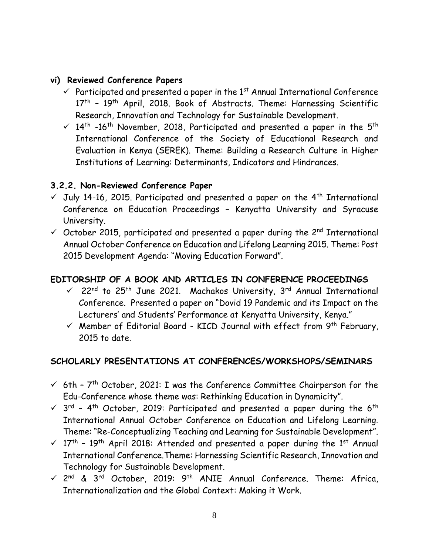# **vi) Reviewed Conference Papers**

- $\checkmark$  Participated and presented a paper in the 1<sup>st</sup> Annual International Conference  $17<sup>th</sup>$  –  $19<sup>th</sup>$  April, 2018. Book of Abstracts. Theme: Harnessing Scientific Research, Innovation and Technology for Sustainable Development.
- $\checkmark$  14<sup>th</sup> -16<sup>th</sup> November, 2018, Participated and presented a paper in the 5<sup>th</sup> International Conference of the Society of Educational Research and Evaluation in Kenya (SEREK). Theme: Building a Research Culture in Higher Institutions of Learning: Determinants, Indicators and Hindrances.

#### **3.2.2. Non-Reviewed Conference Paper**

- $\checkmark$  July 14-16, 2015. Participated and presented a paper on the 4<sup>th</sup> International Conference on Education Proceedings – Kenyatta University and Syracuse University.
- $\checkmark$  October 2015, participated and presented a paper during the 2<sup>nd</sup> International Annual October Conference on Education and Lifelong Learning 2015. Theme: Post 2015 Development Agenda: "Moving Education Forward".

# **EDITORSHIP OF A BOOK AND ARTICLES IN CONFERENCE PROCEEDINGS**

- $\checkmark$  22<sup>nd</sup> to 25<sup>th</sup> June 2021. Machakos University, 3<sup>rd</sup> Annual International Conference. Presented a paper on "Dovid 19 Pandemic and its Impact on the Lecturers' and Students' Performance at Kenyatta University, Kenya."
- $\checkmark$  Member of Editorial Board KICD Journal with effect from 9<sup>th</sup> February, 2015 to date.

# **SCHOLARLY PRESENTATIONS AT CONFERENCES/WORKSHOPS/SEMINARS**

- $\checkmark$  6th  $7^{\text{th}}$  October, 2021: I was the Conference Committee Chairperson for the Edu-Conference whose theme was: Rethinking Education in Dynamicity".
- $\checkmark$  3<sup>rd</sup> 4<sup>th</sup> October, 2019: Participated and presented a paper during the 6<sup>th</sup> International Annual October Conference on Education and Lifelong Learning. Theme: "Re-Conceptualizing Teaching and Learning for Sustainable Development".
- $\sqrt{17}$ <sup>th</sup> 19<sup>th</sup> April 2018: Attended and presented a paper during the 1<sup>st</sup> Annual International Conference.Theme: Harnessing Scientific Research, Innovation and Technology for Sustainable Development.
- $\checkmark$  2<sup>nd</sup> & 3<sup>rd</sup> October, 2019: 9<sup>th</sup> ANIE Annual Conference. Theme: Africa, Internationalization and the Global Context: Making it Work.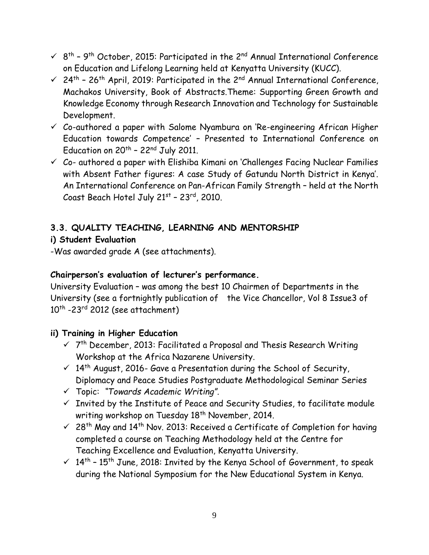- $\checkmark$  8<sup>th</sup> 9<sup>th</sup> October, 2015: Participated in the 2<sup>nd</sup> Annual International Conference on Education and Lifelong Learning held at Kenyatta University (KUCC).
- $\checkmark$  24<sup>th</sup> 26<sup>th</sup> April, 2019: Participated in the 2<sup>nd</sup> Annual International Conference, Machakos University, Book of Abstracts.Theme: Supporting Green Growth and Knowledge Economy through Research Innovation and Technology for Sustainable Development.
- $\checkmark$  Co-authored a paper with Salome Nyambura on 'Re-engineering African Higher Education towards Competence' – Presented to International Conference on Education on 20<sup>th</sup> – 22<sup>nd</sup> July 2011.
- $\check{\phantom{1}}$  Co- authored a paper with Elishiba Kimani on 'Challenges Facing Nuclear Families with Absent Father figures: A case Study of Gatundu North District in Kenya'. An International Conference on Pan-African Family Strength – held at the North Coast Beach Hotel July 21st – 23rd, 2010.

# **3.3. QUALITY TEACHING, LEARNING AND MENTORSHIP**

# **i) Student Evaluation**

-Was awarded grade A (see attachments).

# **Chairperson's evaluation of lecturer's performance.**

University Evaluation – was among the best 10 Chairmen of Departments in the University (see a fortnightly publication of the Vice Chancellor, Vol 8 Issue3 of  $10^{\text{th}}$  -23 $^{\text{rd}}$  2012 (see attachment)

# **ii) Training in Higher Education**

- $\checkmark$  7<sup>th</sup> December, 2013: Facilitated a Proposal and Thesis Research Writing Workshop at the Africa Nazarene University.
- $\checkmark$  14<sup>th</sup> August, 2016- Gave a Presentation during the School of Security, Diplomacy and Peace Studies Postgraduate Methodological Seminar Series
- Topic: *"Towards Academic Writing".*
- $\checkmark$  Invited by the Institute of Peace and Security Studies, to facilitate module writing workshop on Tuesday 18<sup>th</sup> November, 2014.
- $\checkmark$  28<sup>th</sup> May and 14<sup>th</sup> Nov. 2013: Received a Certificate of Completion for having completed a course on Teaching Methodology held at the Centre for Teaching Excellence and Evaluation, Kenyatta University.
- $\sim$  14<sup>th</sup> 15<sup>th</sup> June, 2018: Invited by the Kenya School of Government, to speak during the National Symposium for the New Educational System in Kenya.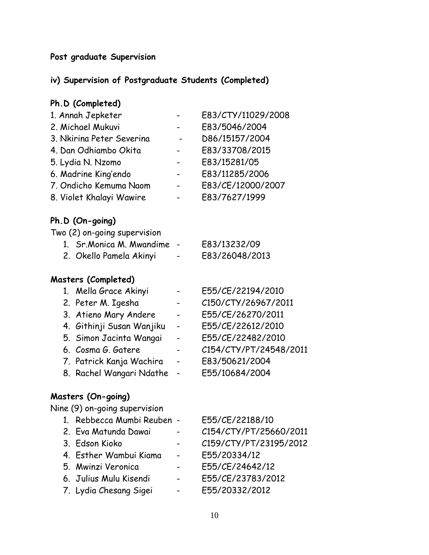### **Post graduate Supervision**

# **iv) Supervision of Postgraduate Students (Completed)**

# **Ph.D (Completed)**

| 1. Annah Jepketer         | E83/CTY/11029/2008 |
|---------------------------|--------------------|
| 2. Michael Mukuvi         | E83/5046/2004      |
| 3. Nkirina Peter Severina | D86/15157/2004     |
| 4. Dan Odhiambo Okita     | E83/33708/2015     |
| 5. Lydia N. Nzomo         | E83/15281/05       |
| 6. Madrine King'endo      | E83/11285/2006     |
| 7. Ondicho Kemuma Naom    | E83/CE/12000/2007  |
| 8. Violet Khalayi Wawire  | E83/7627/1999      |
|                           |                    |

# **Ph.D (On-going)**

Two (2) on-going supervision

| 1. Sr. Monica M. Mwandime - |                          | E83/13232/09   |
|-----------------------------|--------------------------|----------------|
| 2. Okello Pamela Akinyi     | $\overline{\phantom{0}}$ | E83/26048/2013 |

# **Masters (Completed)**

| 1. Mella Grace Akinyi     |                          | E55/CE/22194/2010      |
|---------------------------|--------------------------|------------------------|
| 2. Peter M. Igesha        | $\sim$                   | C150/CTY/26967/2011    |
| 3. Atieno Mary Andere     | $\overline{\phantom{0}}$ | E55/CE/26270/2011      |
| 4. Githinji Susan Wanjiku | $\sim$                   | E55/CE/22612/2010      |
| 5. Simon Jacinta Wangai   | $\sim$                   | E55/CE/22482/2010      |
| 6. Cosma G. Gatere        |                          | C154/CTY/PT/24548/2011 |
| 7. Patrick Kanja Wachira  |                          | E83/50621/2004         |
| 8. Rachel Wangari Ndathe  | $\overline{a}$           | E55/10684/2004         |
|                           |                          |                        |

# **Masters (On-going)**

Nine (9) on-going supervision

| 1. Rebbecca Mumbi Reuben - |                | E55/CE/22188/10        |
|----------------------------|----------------|------------------------|
| 2. Eva Matunda Dawai       |                | C154/CTY/PT/25660/2011 |
| 3. Edson Kioko             |                | C159/CTY/PT/23195/2012 |
| 4. Esther Wambui Kiama     | $\sim$         | E55/20334/12           |
| 5. Mwinzi Veronica         | $\blacksquare$ | E55/CE/24642/12        |
| 6. Julius Mulu Kisendi     | $\blacksquare$ | E55/CE/23783/2012      |
| 7. Lydia Chesang Sigei     | $\hbox{--}$    | E55/20332/2012         |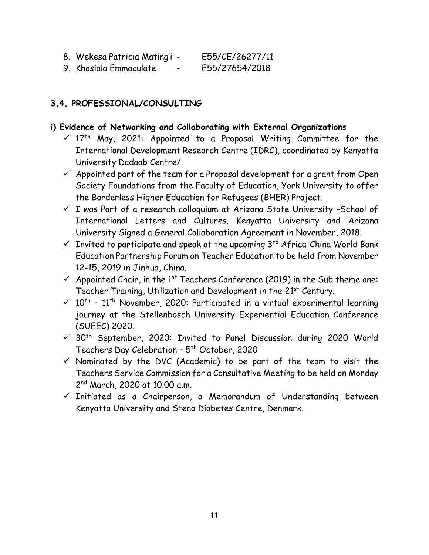| 8. Wekesa Patricia Mating'i - |  |  | E55/CE/26277/11 |  |
|-------------------------------|--|--|-----------------|--|
|                               |  |  |                 |  |

9. Khasiala Emmaculate - E55/27654/2018

### **3.4. PROFESSIONAL/CONSULTING**

# **i) Evidence of Networking and Collaborating with External Organizations**

- $\checkmark$  17<sup>th</sup> May, 2021: Appointed to a Proposal Writing Committee for the International Development Research Centre (IDRC), coordinated by Kenyatta University Dadaab Centre/.
- $\checkmark$  Appointed part of the team for a Proposal development for a grant from Open Society Foundations from the Faculty of Education, York University to offer the Borderless Higher Education for Refugees (BHER) Project.
- $\checkmark$  I was Part of a research colloquium at Arizona State University -School of International Letters and Cultures. Kenyatta University and Arizona University Signed a General Collaboration Agreement in November, 2018.
- $\checkmark$  Invited to participate and speak at the upcoming 3<sup>rd</sup> Africa-China World Bank Education Partnership Forum on Teacher Education to be held from November 12-15, 2019 in Jinhua, China.
- $\checkmark$  Appointed Chair, in the 1st Teachers Conference (2019) in the Sub theme one: Teacher Training, Utilization and Development in the 21<sup>st</sup> Century.
- $\sim$  10<sup>th</sup> 11<sup>th</sup> November, 2020: Participated in a virtual experimental learning journey at the Stellenbosch University Experiential Education Conference (SUEEC) 2020.
- $\checkmark$  30<sup>th</sup> September, 2020: Invited to Panel Discussion during 2020 World Teachers Day Celebration – 5<sup>th</sup> October, 2020
- $\checkmark$  Nominated by the DVC (Academic) to be part of the team to visit the Teachers Service Commission for a Consultative Meeting to be held on Monday 2<sup>nd</sup> March, 2020 at 10.00 a.m.
- $\checkmark$  Initiated as a Chairperson, a Memorandum of Understanding between Kenyatta University and Steno Diabetes Centre, Denmark.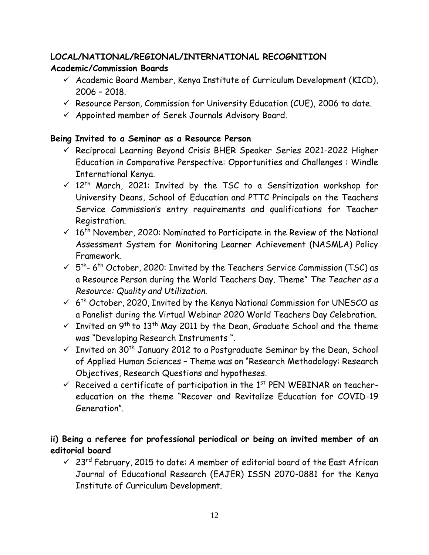# **LOCAL/NATIONAL/REGIONAL/INTERNATIONAL RECOGNITION Academic/Commission Boards**

- $\checkmark$  Academic Board Member, Kenya Institute of Curriculum Development (KICD), 2006 – 2018.
- $\checkmark$  Resource Person, Commission for University Education (CUE), 2006 to date.
- $\checkmark$  Appointed member of Serek Journals Advisory Board.

# **Being Invited to a Seminar as a Resource Person**

- $\checkmark$  Reciprocal Learning Beyond Crisis BHER Speaker Series 2021-2022 Higher Education in Comparative Perspective: Opportunities and Challenges : Windle International Kenya.
- $\checkmark$  12<sup>th</sup> March, 2021: Invited by the TSC to a Sensitization workshop for University Deans, School of Education and PTTC Principals on the Teachers Service Commission's entry requirements and qualifications for Teacher Registration.
- $\checkmark$  16<sup>th</sup> November, 2020: Nominated to Participate in the Review of the National Assessment System for Monitoring Learner Achievement (NASMLA) Policy Framework.
- $\checkmark$  5<sup>th</sup>-6<sup>th</sup> October, 2020: Invited by the Teachers Service Commission (TSC) as a Resource Person during the World Teachers Day. Theme" *The Teacher as a Resource: Quality and Utilization.*
- $\checkmark$  6<sup>th</sup> October, 2020, Invited by the Kenya National Commission for UNESCO as a Panelist during the Virtual Webinar 2020 World Teachers Day Celebration.
- $\checkmark$  Invited on 9<sup>th</sup> to 13<sup>th</sup> May 2011 by the Dean, Graduate School and the theme was "Developing Research Instruments ".
- $\checkmark$  Invited on 30<sup>th</sup> January 2012 to a Postgraduate Seminar by the Dean, School of Applied Human Sciences – Theme was on "Research Methodology: Research Objectives, Research Questions and hypotheses.
- $\checkmark$  Received a certificate of participation in the 1<sup>st</sup> PEN WEBINAR on teachereducation on the theme "Recover and Revitalize Education for COVID-19 Generation".

# **ii) Being a referee for professional periodical or being an invited member of an editorial board**

 $\sim$  23<sup>rd</sup> February, 2015 to date: A member of editorial board of the East African Journal of Educational Research (EAJER) ISSN 2070-0881 for the Kenya Institute of Curriculum Development.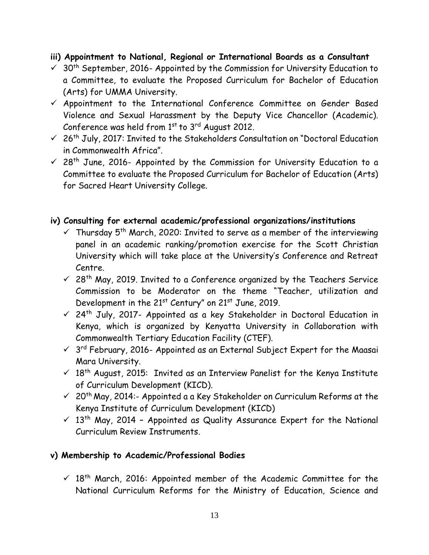#### **iii) Appointment to National, Regional or International Boards as a Consultant**

- $\checkmark$  30<sup>th</sup> September, 2016- Appointed by the Commission for University Education to a Committee, to evaluate the Proposed Curriculum for Bachelor of Education (Arts) for UMMA University.
- $\checkmark$  Appointment to the International Conference Committee on Gender Based Violence and Sexual Harassment by the Deputy Vice Chancellor (Academic). Conference was held from  $1<sup>st</sup>$  to  $3<sup>rd</sup>$  August 2012.
- $\checkmark$  26<sup>th</sup> July, 2017: Invited to the Stakeholders Consultation on "Doctoral Education in Commonwealth Africa".
- $\checkmark$  28<sup>th</sup> June, 2016- Appointed by the Commission for University Education to a Committee to evaluate the Proposed Curriculum for Bachelor of Education (Arts) for Sacred Heart University College.

### **iv) Consulting for external academic/professional organizations/institutions**

- $\checkmark$  Thursday 5<sup>th</sup> March, 2020: Invited to serve as a member of the interviewing panel in an academic ranking/promotion exercise for the Scott Christian University which will take place at the University's Conference and Retreat Centre.
- $\checkmark$  28<sup>th</sup> May, 2019. Invited to a Conference organized by the Teachers Service Commission to be Moderator on the theme "Teacher, utilization and Development in the 21<sup>st</sup> Century" on 21<sup>st</sup> June, 2019.
- $\sqrt{24}$ <sup>th</sup> July, 2017- Appointed as a key Stakeholder in Doctoral Education in Kenya, which is organized by Kenyatta University in Collaboration with Commonwealth Tertiary Education Facility (CTEF).
- $\checkmark$  3<sup>rd</sup> February, 2016- Appointed as an External Subject Expert for the Maasai Mara University.
- $\leq$  18<sup>th</sup> August, 2015: Invited as an Interview Panelist for the Kenya Institute of Curriculum Development (KICD).
- $\sim$  20<sup>th</sup> May, 2014:- Appointed a a Key Stakeholder on Curriculum Reforms at the Kenya Institute of Curriculum Development (KICD)
- $\checkmark$  13<sup>th</sup> May, 2014 Appointed as Quality Assurance Expert for the National Curriculum Review Instruments.

#### **v) Membership to Academic/Professional Bodies**

 $\checkmark$  18<sup>th</sup> March, 2016: Appointed member of the Academic Committee for the National Curriculum Reforms for the Ministry of Education, Science and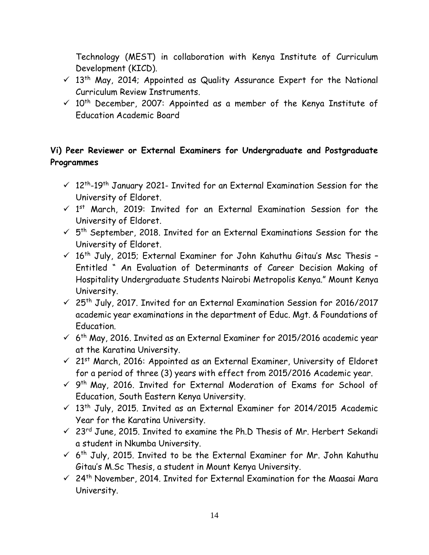Technology (MEST) in collaboration with Kenya Institute of Curriculum Development (KICD).

- $\checkmark$  13<sup>th</sup> May, 2014; Appointed as Quality Assurance Expert for the National Curriculum Review Instruments.
- $\checkmark$  10<sup>th</sup> December, 2007: Appointed as a member of the Kenya Institute of Education Academic Board

# **Vi) Peer Reviewer or External Examiners for Undergraduate and Postgraduate Programmes**

- $\checkmark$  12<sup>th</sup>-19<sup>th</sup> January 2021- Invited for an External Examination Session for the University of Eldoret.
- $\checkmark$  1<sup>st</sup> March, 2019: Invited for an External Examination Session for the University of Eldoret.
- $\checkmark$  5<sup>th</sup> September, 2018. Invited for an External Examinations Session for the University of Eldoret.
- $\checkmark$  16<sup>th</sup> July, 2015; External Examiner for John Kahuthu Gitau's Msc Thesis -Entitled " An Evaluation of Determinants of Career Decision Making of Hospitality Undergraduate Students Nairobi Metropolis Kenya." Mount Kenya University.
- $\checkmark$  25<sup>th</sup> July, 2017. Invited for an External Examination Session for 2016/2017 academic year examinations in the department of Educ. Mgt. & Foundations of **Education**
- $\checkmark$  6<sup>th</sup> May, 2016. Invited as an External Examiner for 2015/2016 academic year at the Karatina University.
- $\sqrt{21^{st}}$  March, 2016: Appointed as an External Examiner, University of Eldoret for a period of three (3) years with effect from 2015/2016 Academic year.
- $\checkmark$  9<sup>th</sup> May, 2016. Invited for External Moderation of Exams for School of Education, South Eastern Kenya University.
- $\sqrt{13}$ <sup>th</sup> July, 2015. Invited as an External Examiner for 2014/2015 Academic Year for the Karatina University.
- $\checkmark$  23<sup>rd</sup> June, 2015. Invited to examine the Ph.D Thesis of Mr. Herbert Sekandi a student in Nkumba University.
- $\checkmark$  6<sup>th</sup> July, 2015. Invited to be the External Examiner for Mr. John Kahuthu Gitau's M.Sc Thesis, a student in Mount Kenya University.
- $\sqrt{24}$ <sup>th</sup> November, 2014. Invited for External Examination for the Maasai Mara University.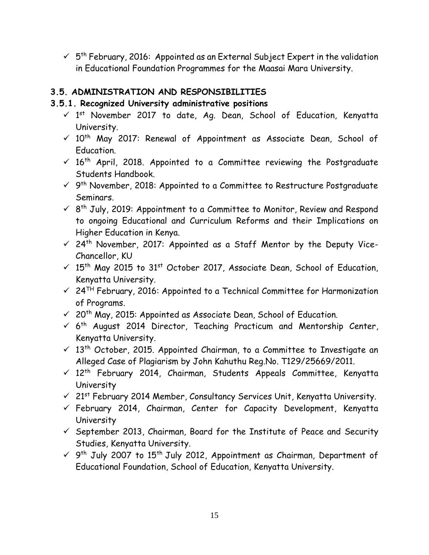$\checkmark$  5<sup>th</sup> February, 2016: Appointed as an External Subject Expert in the validation in Educational Foundation Programmes for the Maasai Mara University.

# **3.5. ADMINISTRATION AND RESPONSIBILITIES**

# **3.5.1. Recognized University administrative positions**

- $\sqrt{15}$  November 2017 to date, Ag. Dean, School of Education, Kenyatta University.
- $\times$  10<sup>th</sup> May 2017: Renewal of Appointment as Associate Dean, School of Education.
- $\leq$  16<sup>th</sup> April, 2018. Appointed to a Committee reviewing the Postgraduate Students Handbook.
- $\checkmark$  9<sup>th</sup> November, 2018: Appointed to a Committee to Restructure Postgraduate Seminars.
- $\checkmark$  8<sup>th</sup> July, 2019: Appointment to a Committee to Monitor, Review and Respond to ongoing Educational and Curriculum Reforms and their Implications on Higher Education in Kenya.
- $\checkmark$  24<sup>th</sup> November, 2017: Appointed as a Staff Mentor by the Deputy Vice-Chancellor, KU
- $\checkmark$  15<sup>th</sup> May 2015 to 31st October 2017, Associate Dean, School of Education, Kenyatta University.
- $\checkmark$  24<sup>TH</sup> February, 2016: Appointed to a Technical Committee for Harmonization of Programs.
- $\checkmark$  20<sup>th</sup> May, 2015: Appointed as Associate Dean, School of Education.
- $\checkmark$  6<sup>th</sup> August 2014 Director, Teaching Practicum and Mentorship Center, Kenyatta University.
- $\checkmark$  13<sup>th</sup> October, 2015. Appointed Chairman, to a Committee to Investigate an Alleged Case of Plagiarism by John Kahuthu Reg.No. T129/25669/2011.
- $\sqrt{12^{th}}$  February 2014, Chairman, Students Appeals Committee, Kenyatta University
- $\checkmark$  21st February 2014 Member, Consultancy Services Unit, Kenyatta University.
- $\checkmark$  February 2014, Chairman, Center for Capacity Development, Kenyatta University
- $\checkmark$  September 2013, Chairman, Board for the Institute of Peace and Security Studies, Kenyatta University.
- $\checkmark$  9<sup>th</sup> July 2007 to 15<sup>th</sup> July 2012, Appointment as Chairman, Department of Educational Foundation, School of Education, Kenyatta University.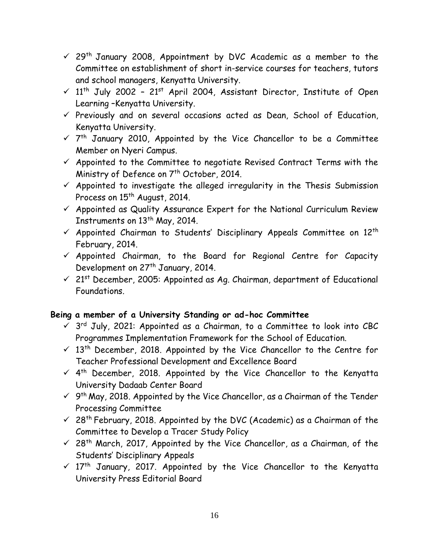- $\checkmark$  29<sup>th</sup> January 2008, Appointment by DVC Academic as a member to the Committee on establishment of short in-service courses for teachers, tutors and school managers, Kenyatta University.
- $\checkmark$  11<sup>th</sup> July 2002 21<sup>st</sup> April 2004, Assistant Director, Institute of Open Learning –Kenyatta University.
- $\checkmark$  Previously and on several occasions acted as Dean, School of Education, Kenyatta University.
- $\checkmark$  7<sup>th</sup> January 2010, Appointed by the Vice Chancellor to be a Committee Member on Nyeri Campus.
- $\checkmark$  Appointed to the Committee to negotiate Revised Contract Terms with the Ministry of Defence on 7<sup>th</sup> October, 2014.
- $\checkmark$  Appointed to investigate the alleged irregularity in the Thesis Submission Process on 15<sup>th</sup> August, 2014.
- $\checkmark$  Appointed as Quality Assurance Expert for the National Curriculum Review Instruments on 13<sup>th</sup> May, 2014.
- $\checkmark$  Appointed Chairman to Students' Disciplinary Appeals Committee on 12<sup>th</sup> February, 2014.
- $\checkmark$  Appointed Chairman, to the Board for Regional Centre for Capacity Development on 27<sup>th</sup> January, 2014.
- $\checkmark$  21st December, 2005: Appointed as Ag. Chairman, department of Educational Foundations.

# **Being a member of a University Standing or ad-hoc Committee**

- $\checkmark$  3<sup>rd</sup> July, 2021: Appointed as a Chairman, to a Committee to look into CBC Programmes Implementation Framework for the School of Education.
- $\checkmark$  13<sup>th</sup> December, 2018. Appointed by the Vice Chancellor to the Centre for Teacher Professional Development and Excellence Board
- $\checkmark$  4<sup>th</sup> December, 2018. Appointed by the Vice Chancellor to the Kenyatta University Dadaab Center Board
- $\checkmark$  9<sup>th</sup> May, 2018. Appointed by the Vice Chancellor, as a Chairman of the Tender Processing Committee
- $\checkmark$  28<sup>th</sup> February, 2018. Appointed by the DVC (Academic) as a Chairman of the Committee to Develop a Tracer Study Policy
- $\checkmark$  28<sup>th</sup> March, 2017, Appointed by the Vice Chancellor, as a Chairman, of the Students' Disciplinary Appeals
- $\sqrt{17}$ <sup>th</sup> January, 2017. Appointed by the Vice Chancellor to the Kenyatta University Press Editorial Board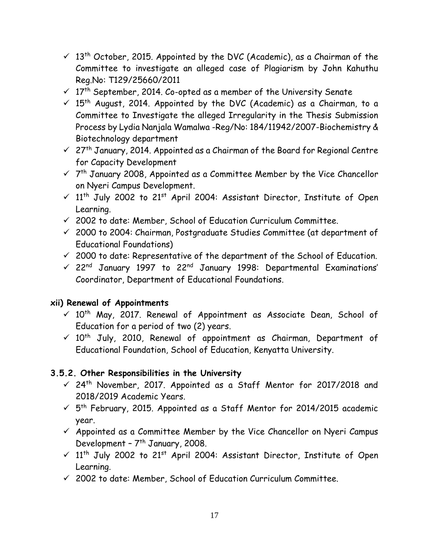- $\checkmark$  13<sup>th</sup> October, 2015. Appointed by the DVC (Academic), as a Chairman of the Committee to investigate an alleged case of Plagiarism by John Kahuthu Reg.No: T129/25660/2011
- $\checkmark$  17<sup>th</sup> September, 2014. Co-opted as a member of the University Senate
- $\checkmark$  15<sup>th</sup> August, 2014. Appointed by the DVC (Academic) as a Chairman, to a Committee to Investigate the alleged Irregularity in the Thesis Submission Process by Lydia Nanjala Wamalwa -Reg/No: 184/11942/2007-Biochemistry & Biotechnology department
- $\checkmark$  27<sup>th</sup> January, 2014. Appointed as a Chairman of the Board for Regional Centre for Capacity Development
- $\checkmark$  7<sup>th</sup> January 2008, Appointed as a Committee Member by the Vice Chancellor on Nyeri Campus Development.
- $\checkmark$  11<sup>th</sup> July 2002 to 21<sup>st</sup> April 2004: Assistant Director, Institute of Open Learning.
- $\checkmark$  2002 to date: Member, School of Education Curriculum Committee.
- $2000$  to 2004: Chairman, Postgraduate Studies Committee (at department of Educational Foundations)
- $\checkmark$  2000 to date: Representative of the department of the School of Education.
- $\checkmark$  22<sup>nd</sup> January 1997 to 22<sup>nd</sup> January 1998: Departmental Examinations' Coordinator, Department of Educational Foundations.

# **xii) Renewal of Appointments**

- $\checkmark$  10<sup>th</sup> May, 2017. Renewal of Appointment as Associate Dean, School of Education for a period of two (2) years.
- $\checkmark$  10<sup>th</sup> July, 2010, Renewal of appointment as Chairman, Department of Educational Foundation, School of Education, Kenyatta University.

# **3.5.2. Other Responsibilities in the University**

- $\checkmark$  24<sup>th</sup> November, 2017. Appointed as a Staff Mentor for 2017/2018 and 2018/2019 Academic Years.
- $\checkmark$  5<sup>th</sup> February, 2015. Appointed as a Staff Mentor for 2014/2015 academic year.
- $\checkmark$  Appointed as a Committee Member by the Vice Chancellor on Nyeri Campus Development - 7<sup>th</sup> January, 2008.
- $\checkmark$  11<sup>th</sup> July 2002 to 21<sup>st</sup> April 2004: Assistant Director, Institute of Open Learning.
- $\checkmark$  2002 to date: Member, School of Education Curriculum Committee.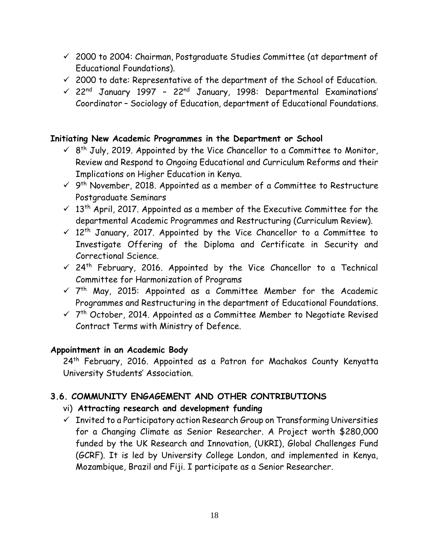- $\checkmark$  2000 to 2004: Chairman, Postgraduate Studies Committee (at department of Educational Foundations).
- $\checkmark$  2000 to date: Representative of the department of the School of Education.
- $\checkmark$  22<sup>nd</sup> January 1997 22<sup>nd</sup> January, 1998: Departmental Examinations' Coordinator – Sociology of Education, department of Educational Foundations.

#### **Initiating New Academic Programmes in the Department or School**

- $\checkmark$  8<sup>th</sup> July, 2019. Appointed by the Vice Chancellor to a Committee to Monitor, Review and Respond to Ongoing Educational and Curriculum Reforms and their Implications on Higher Education in Kenya.
- $\checkmark$  9<sup>th</sup> November, 2018. Appointed as a member of a Committee to Restructure Postgraduate Seminars
- $\checkmark$  13<sup>th</sup> April, 2017. Appointed as a member of the Executive Committee for the departmental Academic Programmes and Restructuring (Curriculum Review).
- $\checkmark$  12<sup>th</sup> January, 2017. Appointed by the Vice Chancellor to a Committee to Investigate Offering of the Diploma and Certificate in Security and Correctional Science.
- $\checkmark$  24<sup>th</sup> February, 2016. Appointed by the Vice Chancellor to a Technical Committee for Harmonization of Programs
- $\checkmark$  7<sup>th</sup> May, 2015: Appointed as a Committee Member for the Academic Programmes and Restructuring in the department of Educational Foundations.
- $\checkmark$  7<sup>th</sup> October, 2014. Appointed as a Committee Member to Negotiate Revised Contract Terms with Ministry of Defence.

# **Appointment in an Academic Body**

24<sup>th</sup> February, 2016. Appointed as a Patron for Machakos County Kenyatta University Students' Association.

# **3.6. COMMUNITY ENGAGEMENT AND OTHER CONTRIBUTIONS**

# vi) **Attracting research and development funding**

 $\checkmark$  Invited to a Participatory action Research Group on Transforming Universities for a Changing Climate as Senior Researcher. A Project worth \$280,000 funded by the UK Research and Innovation, (UKRI), Global Challenges Fund (GCRF). It is led by University College London, and implemented in Kenya, Mozambique, Brazil and Fiji. I participate as a Senior Researcher.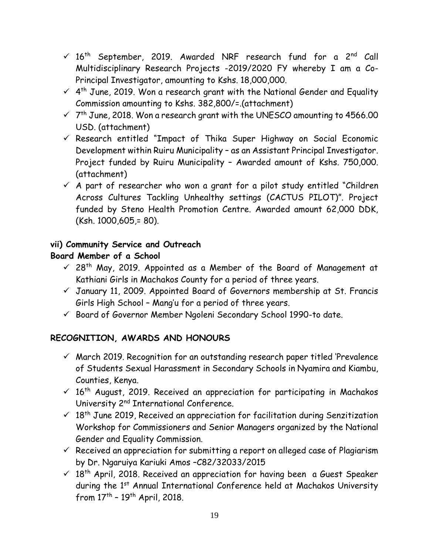- $\checkmark$  16<sup>th</sup> September, 2019. Awarded NRF research fund for a 2<sup>nd</sup> Call Multidisciplinary Research Projects -2019/2020 FY whereby I am a Co-Principal Investigator, amounting to Kshs. 18,000,000.
- $\checkmark$  4<sup>th</sup> June, 2019. Won a research grant with the National Gender and Equality Commission amounting to Kshs. 382,800/=.(attachment)
- $\checkmark$  7<sup>th</sup> June, 2018. Won a research grant with the UNESCO amounting to 4566.00 USD. (attachment)
- $\checkmark$  Research entitled "Impact of Thika Super Highway on Social Economic Development within Ruiru Municipality – as an Assistant Principal Investigator. Project funded by Ruiru Municipality – Awarded amount of Kshs. 750,000. (attachment)
- $\checkmark$  A part of researcher who won a grant for a pilot study entitled "Children Across Cultures Tackling Unhealthy settings (CACTUS PILOT)". Project funded by Steno Health Promotion Centre. Awarded amount 62,000 DDK, (Ksh. 1000,605,= 80).

# **vii) Community Service and Outreach**

# **Board Member of a School**

- $\leq$  28<sup>th</sup> May, 2019. Appointed as a Member of the Board of Management at Kathiani Girls in Machakos County for a period of three years.
- $\checkmark$  January 11, 2009. Appointed Board of Governors membership at St. Francis Girls High School – Mang'u for a period of three years.
- $\checkmark$  Board of Governor Member Ngoleni Secondary School 1990-to date.

# **RECOGNITION, AWARDS AND HONOURS**

- $\checkmark$  March 2019. Recognition for an outstanding research paper titled 'Prevalence of Students Sexual Harassment in Secondary Schools in Nyamira and Kiambu, Counties, Kenya.
- $\leq$  16<sup>th</sup> August, 2019. Received an appreciation for participating in Machakos University 2nd International Conference.
- $\checkmark$  18<sup>th</sup> June 2019, Received an appreciation for facilitation during Senzitization Workshop for Commissioners and Senior Managers organized by the National Gender and Equality Commission.
- $\checkmark$  Received an appreciation for submitting a report on alleged case of Plagiarism by Dr. Ngaruiya Kariuki Amos –C82/32033/2015
- $\sqrt{18}$ <sup>th</sup> April, 2018. Received an appreciation for having been a Guest Speaker during the 1<sup>st</sup> Annual International Conference held at Machakos University from 17th – 19th April, 2018.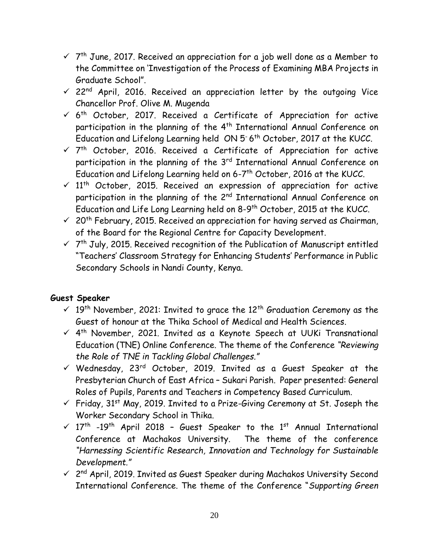- $\checkmark$  7<sup>th</sup> June, 2017. Received an appreciation for a job well done as a Member to the Committee on 'Investigation of the Process of Examining MBA Projects in Graduate School".
- $\times$  22<sup>nd</sup> April, 2016. Received an appreciation letter by the outgoing Vice Chancellor Prof. Olive M. Mugenda
- $\checkmark$  6<sup>th</sup> October, 2017. Received a Certificate of Appreciation for active participation in the planning of the 4<sup>th</sup> International Annual Conference on Education and Lifelong Learning held  $ON 5<sup>-6</sup>$  October, 2017 at the KUCC.
- $\checkmark$  7<sup>th</sup> October, 2016. Received a Certificate of Appreciation for active participation in the planning of the 3<sup>rd</sup> International Annual Conference on Education and Lifelong Learning held on 6-7<sup>th</sup> October, 2016 at the KUCC.
- $\checkmark$  11<sup>th</sup> October, 2015. Received an expression of appreciation for active participation in the planning of the 2<sup>nd</sup> International Annual Conference on Education and Life Long Learning held on 8-9 th October, 2015 at the KUCC.
- $\checkmark$  20<sup>th</sup> February, 2015. Received an appreciation for having served as Chairman, of the Board for the Regional Centre for Capacity Development.
- $\checkmark$  7<sup>th</sup> July, 2015. Received recognition of the Publication of Manuscript entitled "Teachers' Classroom Strategy for Enhancing Students' Performance in Public Secondary Schools in Nandi County, Kenya.

# **Guest Speaker**

- $\leq$  19<sup>th</sup> November, 2021: Invited to grace the 12<sup>th</sup> Graduation Ceremony as the Guest of honour at the Thika School of Medical and Health Sciences.
- $\checkmark$  4<sup>th</sup> November, 2021. Invited as a Keynote Speech at UUKi Transnational Education (TNE) Online Conference. The theme of the Conference *"Reviewing the Role of TNE in Tackling Global Challenges."*
- $\checkmark$  Wednesday, 23<sup>rd</sup> October, 2019. Invited as a Guest Speaker at the Presbyterian Church of East Africa – Sukari Parish. Paper presented: General Roles of Pupils, Parents and Teachers in Competency Based Curriculum.
- $\checkmark$  Friday, 31<sup>st</sup> May, 2019. Invited to a Prize-Giving Ceremony at St. Joseph the Worker Secondary School in Thika.
- $\sqrt{17}$ <sup>th</sup> -19<sup>th</sup> April 2018 Guest Speaker to the 1<sup>st</sup> Annual International Conference at Machakos University. The theme of the conference *"Harnessing Scientific Research, Innovation and Technology for Sustainable Development."*
- $\checkmark$  2<sup>nd</sup> April, 2019. Invited as Guest Speaker during Machakos University Second International Conference. The theme of the Conference "*Supporting Green*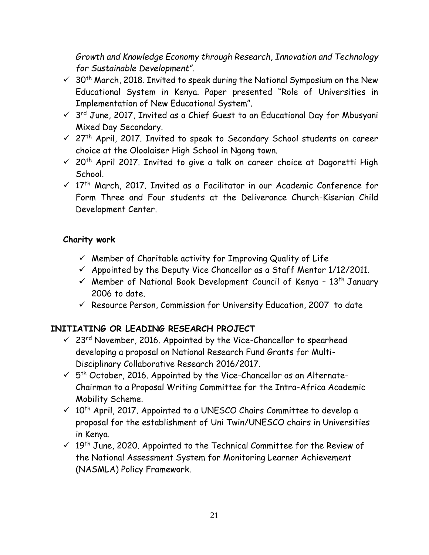*Growth and Knowledge Economy through Research, Innovation and Technology for Sustainable Development".*

- $\checkmark$  30<sup>th</sup> March, 2018. Invited to speak during the National Symposium on the New Educational System in Kenya. Paper presented "Role of Universities in Implementation of New Educational System".
- $\checkmark$  3<sup>rd</sup> June, 2017, Invited as a Chief Guest to an Educational Day for Mbusyani Mixed Day Secondary.
- $\sqrt{27}$ <sup>th</sup> April, 2017. Invited to speak to Secondary School students on career choice at the Oloolaiser High School in Ngong town.
- $\checkmark$  20<sup>th</sup> April 2017. Invited to give a talk on career choice at Dagoretti High School.
- $\sqrt{17}$ <sup>th</sup> March, 2017. Invited as a Facilitator in our Academic Conference for Form Three and Four students at the Deliverance Church-Kiserian Child Development Center.

# **Charity work**

- $\checkmark$  Member of Charitable activity for Improving Quality of Life
- $\checkmark$  Appointed by the Deputy Vice Chancellor as a Staff Mentor 1/12/2011.
- $\checkmark$  Member of National Book Development Council of Kenya 13<sup>th</sup> January 2006 to date.
- $\checkmark$  Resource Person, Commission for University Education, 2007 to date

# **INITIATING OR LEADING RESEARCH PROJECT**

- $\checkmark$  23<sup>rd</sup> November, 2016. Appointed by the Vice-Chancellor to spearhead developing a proposal on National Research Fund Grants for Multi-Disciplinary Collaborative Research 2016/2017.
- $\checkmark$  5<sup>th</sup> October, 2016. Appointed by the Vice-Chancellor as an Alternate-Chairman to a Proposal Writing Committee for the Intra-Africa Academic Mobility Scheme.
- $\checkmark$  10<sup>th</sup> April, 2017. Appointed to a UNESCO Chairs Committee to develop a proposal for the establishment of Uni Twin/UNESCO chairs in Universities in Kenya.
- $\checkmark$  19<sup>th</sup> June, 2020. Appointed to the Technical Committee for the Review of the National Assessment System for Monitoring Learner Achievement (NASMLA) Policy Framework.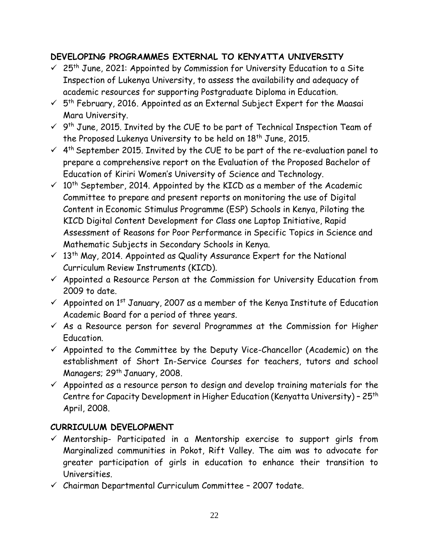# **DEVELOPING PROGRAMMES EXTERNAL TO KENYATTA UNIVERSITY**

- $\checkmark$  25<sup>th</sup> June, 2021: Appointed by Commission for University Education to a Site Inspection of Lukenya University, to assess the availability and adequacy of academic resources for supporting Postgraduate Diploma in Education.
- $\checkmark$  5<sup>th</sup> February, 2016. Appointed as an External Subject Expert for the Maasai Mara University.
- $\checkmark$  9<sup>th</sup> June, 2015. Invited by the CUE to be part of Technical Inspection Team of the Proposed Lukenya University to be held on 18<sup>th</sup> June, 2015.
- $\checkmark$  4<sup>th</sup> September 2015. Invited by the CUE to be part of the re-evaluation panel to prepare a comprehensive report on the Evaluation of the Proposed Bachelor of Education of Kiriri Women's University of Science and Technology.
- $\sim$  10<sup>th</sup> September, 2014. Appointed by the KICD as a member of the Academic Committee to prepare and present reports on monitoring the use of Digital Content in Economic Stimulus Programme (ESP) Schools in Kenya, Piloting the KICD Digital Content Development for Class one Laptop Initiative, Rapid Assessment of Reasons for Poor Performance in Specific Topics in Science and Mathematic Subjects in Secondary Schools in Kenya.
- $\checkmark$  13<sup>th</sup> May, 2014. Appointed as Quality Assurance Expert for the National Curriculum Review Instruments (KICD).
- $\checkmark$  Appointed a Resource Person at the Commission for University Education from 2009 to date.
- $\checkmark$  Appointed on 1st January, 2007 as a member of the Kenya Institute of Education Academic Board for a period of three years.
- $\checkmark$  As a Resource person for several Programmes at the Commission for Higher Education.
- $\checkmark$  Appointed to the Committee by the Deputy Vice-Chancellor (Academic) on the establishment of Short In-Service Courses for teachers, tutors and school Managers; 29<sup>th</sup> January, 2008.
- $\checkmark$  Appointed as a resource person to design and develop training materials for the Centre for Capacity Development in Higher Education (Kenyatta University) – 25th April, 2008.

# **CURRICULUM DEVELOPMENT**

- $\checkmark$  Mentorship- Participated in a Mentorship exercise to support girls from Marginalized communities in Pokot, Rift Valley. The aim was to advocate for greater participation of girls in education to enhance their transition to Universities.
- $\checkmark$  Chairman Departmental Curriculum Committee 2007 todate.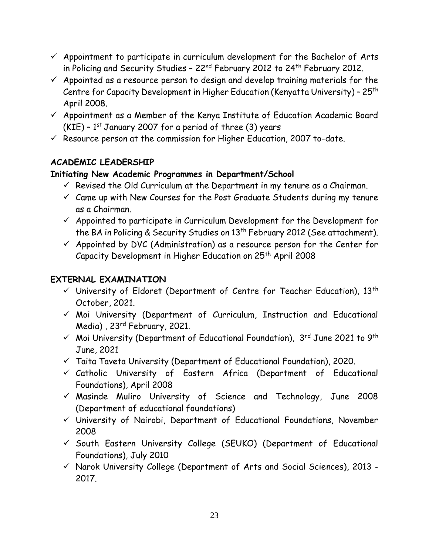- $\checkmark$  Appointment to participate in curriculum development for the Bachelor of Arts in Policing and Security Studies - 22<sup>nd</sup> February 2012 to 24<sup>th</sup> February 2012.
- $\checkmark$  Appointed as a resource person to design and develop training materials for the Centre for Capacity Development in Higher Education (Kenyatta University) – 25th April 2008.
- $\checkmark$  Appointment as a Member of the Kenya Institute of Education Academic Board  $(KIE)$  - 1st January 2007 for a period of three (3) years
- $\checkmark$  Resource person at the commission for Higher Education, 2007 to-date.

# **ACADEMIC LEADERSHIP**

# **Initiating New Academic Programmes in Department/School**

- $\checkmark$  Revised the Old Curriculum at the Department in my tenure as a Chairman.
- $\checkmark$  Came up with New Courses for the Post Graduate Students during my tenure as a Chairman.
- $\checkmark$  Appointed to participate in Curriculum Development for the Development for the BA in Policing & Security Studies on 13<sup>th</sup> February 2012 (See attachment).
- $\checkmark$  Appointed by DVC (Administration) as a resource person for the Center for Capacity Development in Higher Education on 25<sup>th</sup> April 2008

# **EXTERNAL EXAMINATION**

- $\checkmark$  University of Eldoret (Department of Centre for Teacher Education), 13<sup>th</sup> October, 2021.
- $\checkmark$  Moi University (Department of Curriculum, Instruction and Educational Media) , 23rd February, 2021.
- $\checkmark$  Moi University (Department of Educational Foundation), 3<sup>rd</sup> June 2021 to 9<sup>th</sup> June, 2021
- $\checkmark$  Taita Taveta University (Department of Educational Foundation), 2020.
- $\checkmark$  Catholic University of Eastern Africa (Department of Educational Foundations), April 2008
- $\checkmark$  Masinde Muliro University of Science and Technology, June 2008 (Department of educational foundations)
- $\checkmark$  University of Nairobi, Department of Educational Foundations, November 2008
- $\checkmark$  South Eastern University College (SEUKO) (Department of Educational Foundations), July 2010
- $\checkmark$  Narok University College (Department of Arts and Social Sciences), 2013 -2017.